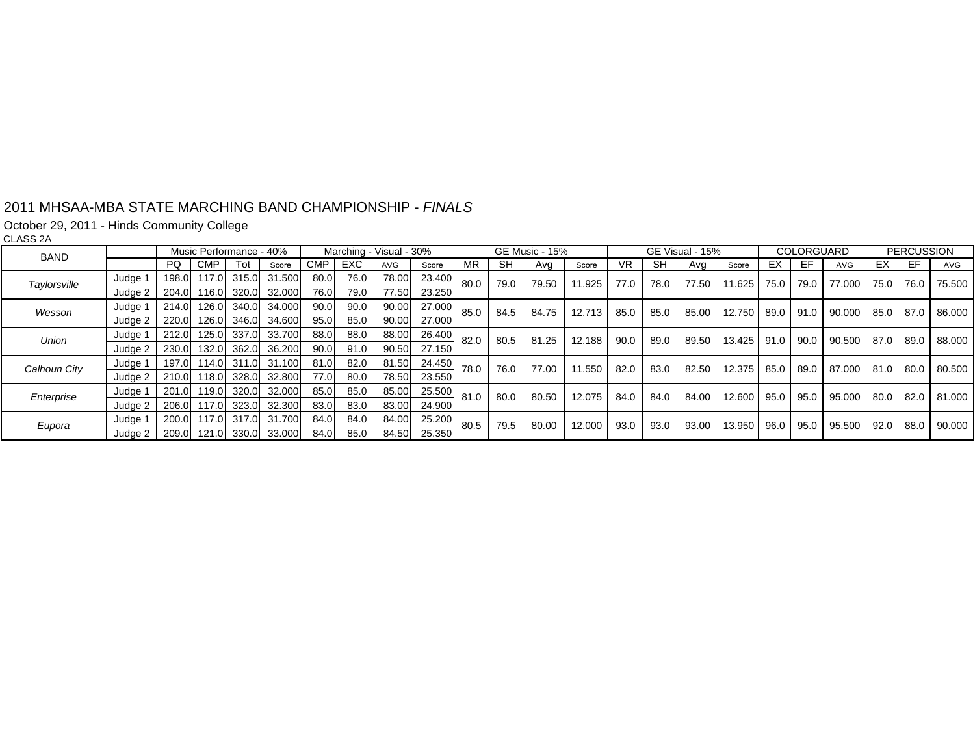#### 2011 MHSAA-MBA STATE MARCHING BAND CHAMPIONSHIP - *FINALS*

October 29, 2011 - Hinds Community College

CLASS 2A

| <b>BAND</b>  |         | Music Performance - 40% |                   |     |                          |            | Marching - Visual - 30% |            |        | GE Music - 15% |      |       | GE Visual - 15% |      |      | COLORGUARD |          | <b>PERCUSSION</b> |      |                  |             |      |        |
|--------------|---------|-------------------------|-------------------|-----|--------------------------|------------|-------------------------|------------|--------|----------------|------|-------|-----------------|------|------|------------|----------|-------------------|------|------------------|-------------|------|--------|
|              |         | PQ.                     | <b>CMP</b>        | Tot | Score                    | <b>CMP</b> | EXC.                    | <b>AVG</b> | Score  | ΜR             | SH   | Avg   | Score           | VR.  | SH   | Avg        | Score    | EХ                | EF   | <b>AVG</b>       | EX.         | EF.  | AVG    |
| Taylorsville | Judge 1 |                         |                   |     | 198.0 117.0 315.0 31.500 | 80.0       | 76.0                    | 78.00      | 23.400 | 80.0           | 79.0 | 79.50 | 11.925          | 77.0 | 78.0 | 77.50      | 11.625   | 75.0              | 79.0 | 77.000           | 75.0 L      | 76.0 | 75.500 |
|              | Judge 2 |                         |                   |     | 204.0 116.0 320.0 32.000 | 76.0       | 79.0                    | 77.50      | 23.250 |                |      |       |                 |      |      |            |          |                   |      |                  |             |      |        |
| Wesson       | Judge 1 |                         |                   |     | 214.0 126.0 340.0 34.000 | 90.0       | 90.0                    | 90.00      | 27.000 | 85.0           | 84.5 | 84.75 | 12.713          | 85.0 | 85.0 | 85.00      | $12.750$ | 89.0              | 91.0 | 90.000           | 85.0 87.0   |      | 86.000 |
|              | Judge 2 | 220.0                   |                   |     | 126.0 346.0 34.600       | 95.0       | 85.0                    | 90.00      | 27.000 |                |      |       |                 |      |      |            |          |                   |      |                  |             |      |        |
| Union        | Judge 1 |                         | 212.0 125.0 337.0 |     | 33.700                   | 88.0       | 88.0                    | 88.00      | 26.400 | 82.0           | 80.5 | 81.25 | 12.188          | 90.0 | 89.0 | 89.50      | 13.425   | 91.0              | 90.0 | 90.500           | 87.0 89.0   |      | 88.000 |
|              | Judge 2 |                         |                   |     | 230.0 132.0 362.0 36.200 | 90.0       | 91.0                    | 90.50      | 27.150 |                |      |       |                 |      |      |            |          |                   |      |                  |             |      |        |
| Calhoun City | Judge 1 |                         |                   |     | 197.0 114.0 311.0 31.100 | 81.0       | 82.0                    | 81.50      | 24.450 | 78.0           | 76.0 | 77.00 | 11.550          | 82.0 | 83.0 | 82.50      | 12.375   | 85.0              | 89.0 | 87.000 81.0 80.0 |             |      | 80.500 |
|              | Judge 2 |                         |                   |     | 210.0 118.0 328.0 32.800 | 77.0       | 80.0                    | 78.50      | 23.550 |                |      |       |                 |      |      |            |          |                   |      |                  |             |      |        |
| Enterprise   | Judge 1 |                         |                   |     | 201.0 119.0 320.0 32.000 | 85.0       | 85.0                    | 85.00      | 25.500 | 81.0           | 80.0 | 80.50 | 12.075          | 84.0 | 84.0 | 84.00      | 12.600   | 95.0              | 95.0 | 95.000           | $80.0$ 82.0 |      | 81.000 |
|              | Judge 2 |                         | 206.0 117.0 323.0 |     | 32.300                   | 83.0       | 83.0                    | 83.00      | 24.900 |                |      |       |                 |      |      |            |          |                   |      |                  |             |      |        |
| Eupora       | Judge 1 |                         | 200.0 117.0 317.0 |     | 31.700                   | 84.0       | 84.0                    | 84.00      | 25.200 | 80.5           | 79.5 | 80.00 | 12.000          | 93.0 | 93.0 | 93.00      | 13.950   | 96.0              | 95.0 | 95.500           | $92.0$ 88.0 |      | 90.000 |
|              | Judge 2 |                         |                   |     | 209.0 121.0 330.0 33.000 | 84.0       | 85.0                    | 84.50      | 25.350 |                |      |       |                 |      |      |            |          |                   |      |                  |             |      |        |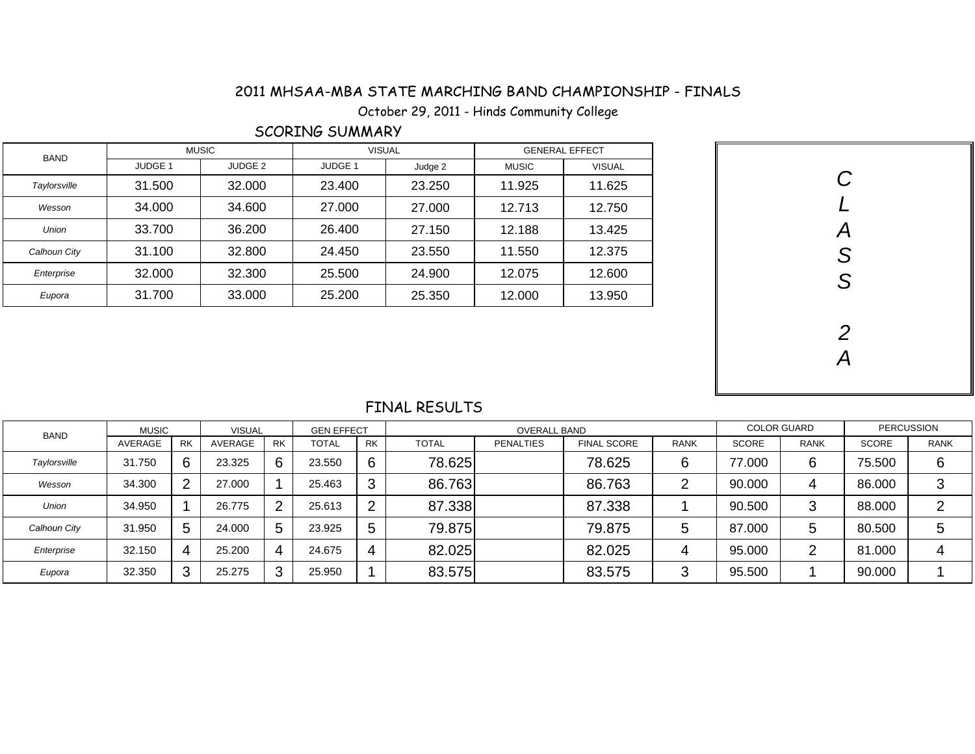## 2011 MHSAA-MBA STATE MARCHING BAND CHAMPIONSHIP - FINALS - MHSAA-MBA STATE MARCHING BAND CHAMPIONSHIP<br>October 29, 2011 - Hinds Community College

### SCORING SUMMARY

| <b>BAND</b>  |         | <b>MUSIC</b>       | <b>VISUAL</b>      |         |              | <b>GENERAL EFFECT</b> |  |        |
|--------------|---------|--------------------|--------------------|---------|--------------|-----------------------|--|--------|
|              | JUDGE 1 | JUDGE <sub>2</sub> | JUDGE <sub>1</sub> | Judge 2 | <b>MUSIC</b> | <b>VISUAL</b>         |  |        |
| Taylorsville | 31.500  | 32.000             | 23.400             | 23.250  | 11.925       | 11.625                |  |        |
| Wesson       | 34.000  | 34.600             | 27.000             | 27.000  | 12.713       | 12.750                |  |        |
| <b>Union</b> | 33.700  | 36.200             | 26.400             | 27.150  | 12.188       | 13.425                |  | А      |
| Calhoun City | 31.100  | 32.800             | 24.450             | 23.550  | 11.550       | 12.375                |  | C<br>ت |
| Enterprise   | 32.000  | 32.300             | 25.500             | 24.900  | 12.075       | 12.600                |  | ◠      |
| Eupora       | 31.700  | 33.000             | 25.200             | 25.350  | 12.000       | 13.950                |  | O      |

| CLASS         |
|---------------|
|               |
|               |
|               |
| $\frac{2}{A}$ |
|               |

### FINAL RESULTS

| <b>BAND</b>  | <b>MUSIC</b> |                       | <b>VISUAL</b> |           | <b>GEN EFFECT</b> |                |              | <b>COLOR GUARD</b> |                    | <b>PERCUSSION</b> |              |             |              |             |
|--------------|--------------|-----------------------|---------------|-----------|-------------------|----------------|--------------|--------------------|--------------------|-------------------|--------------|-------------|--------------|-------------|
|              | AVERAGE      | <b>RK</b>             | AVERAGE       | <b>RK</b> | <b>TOTAL</b>      | <b>RK</b>      | <b>TOTAL</b> | <b>PENALTIES</b>   | <b>FINAL SCORE</b> | <b>RANK</b>       | <b>SCORE</b> | <b>RANK</b> | <b>SCORE</b> | <b>RANK</b> |
| Taylorsville | 31.750       | 6.                    | 23.325        | 6         | 23.550            | 6              | 78.625       |                    | 78.625             | 6                 | 77.000       | 6           | 75.500       | 6           |
| Wesson       | 34.300       | $\mathbf{2}^{\prime}$ | 27.000        |           | 25.463            | 3              | 86.763       |                    | 86.763             | ⌒                 | 90.000       | 4           | 86.000       | ◠<br>w      |
| <b>Union</b> | 34.950       |                       | 26.775        |           | 25.613            | $\overline{2}$ | 87.338       |                    | 87.338             |                   | 90.500       | 3           | 88.000       | ◠           |
| Calhoun City | 31.950       | 5                     | 24.000        | 5         | 23.925            | 5              | 79.875       |                    | 79.875             | 5                 | 87.000       | 5           | 80.500       | ა           |
| Enterprise   | 32.150       | 4                     | 25.200        |           | 24.675            | 4              | 82.025       |                    | 82.025             | 4                 | 95.000       | ⌒           | 81.000       | 4           |
| Eupora       | 32,350       | 3                     | 25.275        | റ         | 25.950            |                | 83.575       |                    | 83.575             | 3                 | 95.500       |             | 90.000       |             |